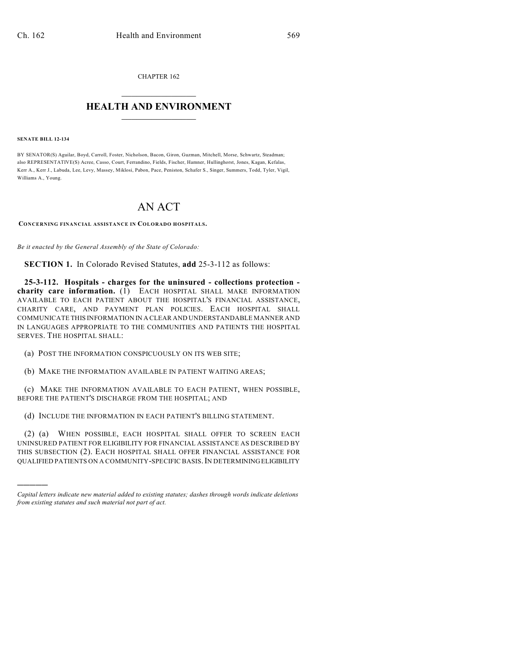CHAPTER 162  $\overline{\phantom{a}}$  . The set of the set of the set of the set of the set of the set of the set of the set of the set of the set of the set of the set of the set of the set of the set of the set of the set of the set of the set o

## **HEALTH AND ENVIRONMENT**  $\_$

**SENATE BILL 12-134**

)))))

BY SENATOR(S) Aguilar, Boyd, Carroll, Foster, Nicholson, Bacon, Giron, Guzman, Mitchell, Morse, Schwartz, Steadman; also REPRESENTATIVE(S) Acree, Casso, Court, Ferrandino, Fields, Fischer, Hamner, Hullinghorst, Jones, Kagan, Kefalas, Kerr A., Kerr J., Labuda, Lee, Levy, Massey, Miklosi, Pabon, Pace, Peniston, Schafer S., Singer, Summers, Todd, Tyler, Vigil, Williams A., Young.

## AN ACT

## **CONCERNING FINANCIAL ASSISTANCE IN COLORADO HOSPITALS.**

*Be it enacted by the General Assembly of the State of Colorado:*

**SECTION 1.** In Colorado Revised Statutes, **add** 25-3-112 as follows:

**25-3-112. Hospitals - charges for the uninsured - collections protection charity care information.** (1) EACH HOSPITAL SHALL MAKE INFORMATION AVAILABLE TO EACH PATIENT ABOUT THE HOSPITAL'S FINANCIAL ASSISTANCE, CHARITY CARE, AND PAYMENT PLAN POLICIES. EACH HOSPITAL SHALL COMMUNICATE THIS INFORMATION IN A CLEAR AND UNDERSTANDABLE MANNER AND IN LANGUAGES APPROPRIATE TO THE COMMUNITIES AND PATIENTS THE HOSPITAL SERVES. THE HOSPITAL SHALL:

(a) POST THE INFORMATION CONSPICUOUSLY ON ITS WEB SITE;

(b) MAKE THE INFORMATION AVAILABLE IN PATIENT WAITING AREAS;

(c) MAKE THE INFORMATION AVAILABLE TO EACH PATIENT, WHEN POSSIBLE, BEFORE THE PATIENT'S DISCHARGE FROM THE HOSPITAL; AND

(d) INCLUDE THE INFORMATION IN EACH PATIENT'S BILLING STATEMENT.

(2) (a) WHEN POSSIBLE, EACH HOSPITAL SHALL OFFER TO SCREEN EACH UNINSURED PATIENT FOR ELIGIBILITY FOR FINANCIAL ASSISTANCE AS DESCRIBED BY THIS SUBSECTION (2). EACH HOSPITAL SHALL OFFER FINANCIAL ASSISTANCE FOR QUALIFIED PATIENTS ON A COMMUNITY-SPECIFIC BASIS.IN DETERMININGELIGIBILITY

*Capital letters indicate new material added to existing statutes; dashes through words indicate deletions from existing statutes and such material not part of act.*